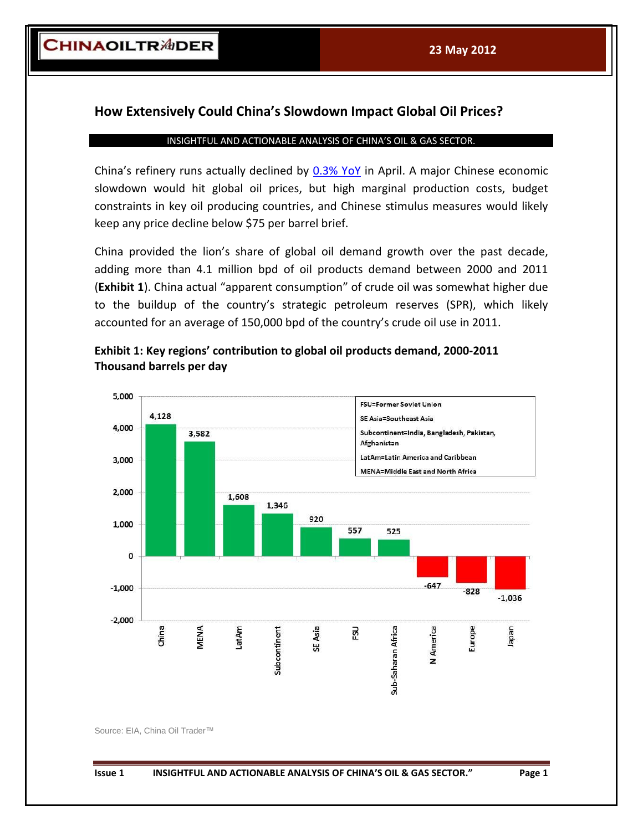$-647$ 

America

7

Sub-Saharan Africa

 $-828$ 

Europe

 $-1,036$ 

neder

## **How Extensively Could China's Slowdown Impact Global Oil Prices?**

## INSIGHTFUL AND ACTIONABLE ANALYSIS OF CHINA'S OIL & GAS SECTOR.

China's refinery runs actually declined by  $0.3\%$  YoY in April. A major Chinese economic slowdown would hit global oil prices, but high marginal production costs, budget constraints in key oil producing countries, and Chinese stimulus measures would likely keep any price decline below \$75 per barrel brief.

China provided the lion's share of global oil demand growth over the past decade, adding more than 4.1 million bpd of oil products demand between 2000 and 2011 (**Exhibit 1**). China actual "apparent consumption" of crude oil was somewhat higher due to the buildup of the country's strategic petroleum reserves (SPR), which likely accounted for an average of 150,000 bpd of the country's crude oil use in 2011.



Asia

₩,

뤖

**Exhibit 1: Key regions' contribution to global oil products demand, 2000-2011 Thousand barrels per day**

Source: EIA, China Oil Trader™

China

**VIENA** 

LatAm

 $\mathbf 0$ 

 $-1,000$ 

 $-2,000$ 

Subcontinent